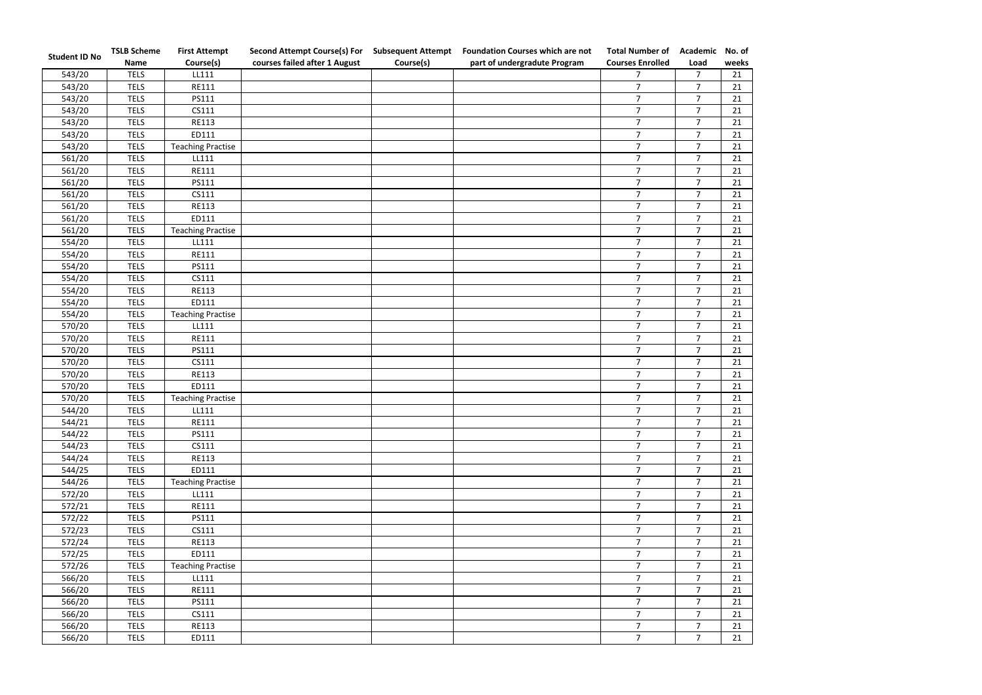| <b>Student ID No</b> | <b>TSLB Scheme</b> | <b>First Attempt</b>     | <b>Second Attempt Course(s) For</b> | <b>Subsequent Attempt</b> | <b>Foundation Courses which are not</b> | <b>Total Number of</b>  | Academic       | No. of |
|----------------------|--------------------|--------------------------|-------------------------------------|---------------------------|-----------------------------------------|-------------------------|----------------|--------|
|                      | <b>Name</b>        | Course(s)                | courses failed after 1 August       | Course(s)                 | part of undergradute Program            | <b>Courses Enrolled</b> | Load           | weeks  |
| 543/20               | <b>TELS</b>        | LL111                    |                                     |                           |                                         | $\overline{7}$          | $\overline{7}$ | 21     |
| 543/20               | <b>TELS</b>        | <b>RE111</b>             |                                     |                           |                                         | $\overline{7}$          | $\overline{7}$ | 21     |
| 543/20               | <b>TELS</b>        | PS111                    |                                     |                           |                                         | $\overline{7}$          | $\overline{7}$ | 21     |
| 543/20               | <b>TELS</b>        | CS111                    |                                     |                           |                                         | $\overline{7}$          | $\overline{7}$ | 21     |
| 543/20               | <b>TELS</b>        | RE113                    |                                     |                           |                                         | $\overline{7}$          | $\overline{7}$ | 21     |
| 543/20               | <b>TELS</b>        | ED111                    |                                     |                           |                                         | $\overline{7}$          | $\overline{7}$ | 21     |
| 543/20               | <b>TELS</b>        | <b>Teaching Practise</b> |                                     |                           |                                         | 7                       | $\overline{7}$ | 21     |
| 561/20               | <b>TELS</b>        | LL111                    |                                     |                           |                                         | $\overline{7}$          | $\overline{7}$ | 21     |
| 561/20               | <b>TELS</b>        | <b>RE111</b>             |                                     |                           |                                         | $\overline{7}$          | $\overline{7}$ | 21     |
| 561/20               | <b>TELS</b>        | PS111                    |                                     |                           |                                         | $\overline{7}$          | $\overline{7}$ | 21     |
| 561/20               | <b>TELS</b>        | CS111                    |                                     |                           |                                         | $\overline{7}$          | $\overline{7}$ | 21     |
| 561/20               | <b>TELS</b>        | RE113                    |                                     |                           |                                         | $\overline{7}$          | $\overline{7}$ | 21     |
| 561/20               | <b>TELS</b>        | ED111                    |                                     |                           |                                         | $\overline{7}$          | $\overline{7}$ | 21     |
| 561/20               | <b>TELS</b>        | <b>Teaching Practise</b> |                                     |                           |                                         | $\overline{7}$          | $\overline{7}$ | 21     |
| 554/20               | <b>TELS</b>        | LL111                    |                                     |                           |                                         | $\overline{7}$          | $\overline{7}$ | 21     |
| 554/20               | <b>TELS</b>        | <b>RE111</b>             |                                     |                           |                                         | $\overline{7}$          | $\overline{7}$ | 21     |
| 554/20               | <b>TELS</b>        | PS111                    |                                     |                           |                                         | $\overline{7}$          | $\overline{7}$ | 21     |
| 554/20               | <b>TELS</b>        | CS111                    |                                     |                           |                                         | $\overline{7}$          | $\overline{7}$ | 21     |
| 554/20               | <b>TELS</b>        | RE113                    |                                     |                           |                                         | $\overline{7}$          | $\overline{7}$ | 21     |
| 554/20               | <b>TELS</b>        | ED111                    |                                     |                           |                                         | $\overline{7}$          | $\overline{7}$ | 21     |
| 554/20               | <b>TELS</b>        | <b>Teaching Practise</b> |                                     |                           |                                         | $\overline{7}$          | $\overline{7}$ | 21     |
| 570/20               | <b>TELS</b>        | LL111                    |                                     |                           |                                         | $\overline{7}$          | $\overline{7}$ | 21     |
| 570/20               | <b>TELS</b>        | RE111                    |                                     |                           |                                         | $\overline{7}$          | $\overline{7}$ | 21     |
| 570/20               | <b>TELS</b>        | PS111                    |                                     |                           |                                         | $\overline{7}$          | $\overline{7}$ | 21     |
| 570/20               | <b>TELS</b>        | CS111                    |                                     |                           |                                         | $\overline{7}$          | $\overline{7}$ | 21     |
| 570/20               | <b>TELS</b>        | RE113                    |                                     |                           |                                         | $\overline{7}$          | $\overline{7}$ | 21     |
| 570/20               | <b>TELS</b>        | ED111                    |                                     |                           |                                         | $\overline{7}$          | $\overline{7}$ | 21     |
| 570/20               | <b>TELS</b>        | <b>Teaching Practise</b> |                                     |                           |                                         | $\overline{7}$          | $\overline{7}$ | 21     |
| 544/20               | <b>TELS</b>        | LL111                    |                                     |                           |                                         | 7 <sup>1</sup>          | $\overline{7}$ | 21     |
| 544/21               | <b>TELS</b>        | RE111                    |                                     |                           |                                         | 7 <sup>7</sup>          | $\overline{7}$ | 21     |
| 544/22               | <b>TELS</b>        | PS111                    |                                     |                           |                                         | 7 <sup>1</sup>          | $\overline{7}$ | 21     |
| 544/23               | <b>TELS</b>        | CS111                    |                                     |                           |                                         | $\overline{7}$          | $\overline{7}$ | 21     |
| 544/24               | <b>TELS</b>        | RE113                    |                                     |                           |                                         | 7 <sup>7</sup>          | $\overline{7}$ | 21     |
| 544/25               | <b>TELS</b>        | ED111                    |                                     |                           |                                         | 7 <sup>1</sup>          | $\overline{7}$ | 21     |
| 544/26               | <b>TELS</b>        | <b>Teaching Practise</b> |                                     |                           |                                         | 7 <sup>7</sup>          | $\overline{7}$ | 21     |
| 572/20               | <b>TELS</b>        | LL111                    |                                     |                           |                                         | $7^{\circ}$             | $7^{\circ}$    | 21     |
| 572/21               | <b>TELS</b>        | RE111                    |                                     |                           |                                         | 7 <sup>7</sup>          | $\overline{7}$ | 21     |
| 572/22               | <b>TELS</b>        | PS111                    |                                     |                           |                                         | 7 <sup>1</sup>          | $\overline{7}$ | 21     |
| 572/23               | <b>TELS</b>        | CS111                    |                                     |                           |                                         | $\overline{7}$          | $\overline{7}$ | 21     |
| 572/24               | <b>TELS</b>        | RE113                    |                                     |                           |                                         | $\overline{7}$          | $\overline{7}$ | 21     |
| 572/25               | <b>TELS</b>        | ED111                    |                                     |                           |                                         | 7 <sup>7</sup>          | $\overline{7}$ | 21     |
| 572/26               | <b>TELS</b>        | <b>Teaching Practise</b> |                                     |                           |                                         | 7 <sup>7</sup>          | $\overline{7}$ | 21     |
| 566/20               | <b>TELS</b>        | LL111                    |                                     |                           |                                         | $\overline{7}$          | $\overline{7}$ | 21     |
| 566/20               | <b>TELS</b>        | RE111                    |                                     |                           |                                         | $\overline{7}$          | $\overline{7}$ | 21     |
| 566/20               | <b>TELS</b>        | PS111                    |                                     |                           |                                         | $\overline{7}$          | $\overline{7}$ | 21     |
| 566/20               | <b>TELS</b>        | CS111                    |                                     |                           |                                         | 7 <sup>7</sup>          | $\overline{7}$ | 21     |
| 566/20               | <b>TELS</b>        | RE113                    |                                     |                           |                                         | 7 <sup>7</sup>          | $\overline{7}$ | 21     |
| 566/20               | <b>TELS</b>        | ED111                    |                                     |                           |                                         | 7 <sup>7</sup>          | $\overline{7}$ | 21     |
|                      |                    |                          |                                     |                           |                                         |                         |                |        |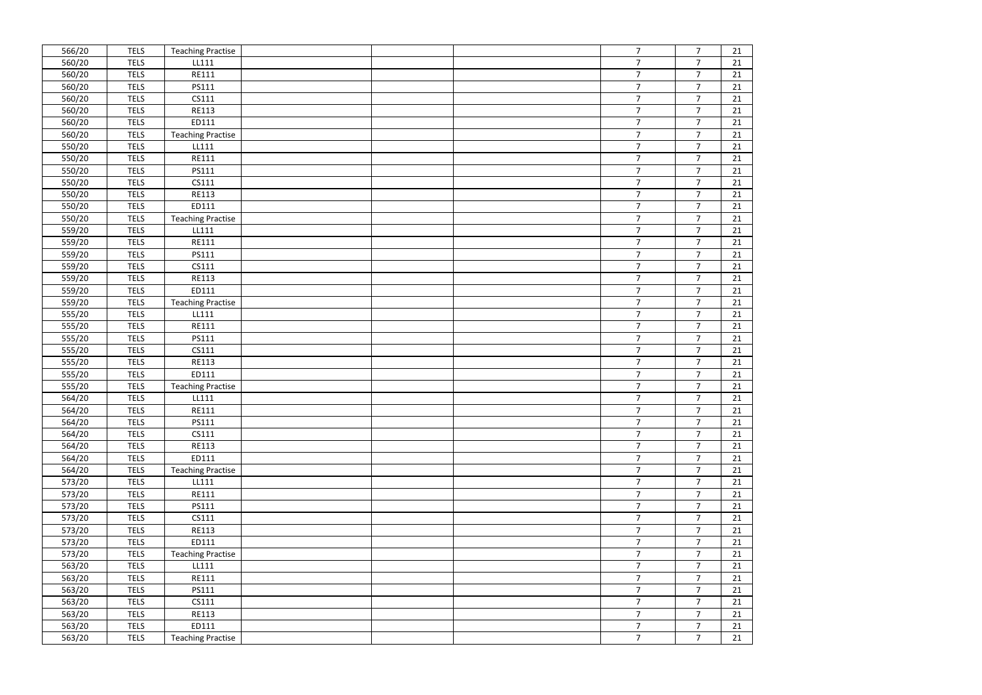| 566/20 | <b>TELS</b> | <b>Teaching Practise</b> |  | $7\overline{ }$ | $\overline{7}$  | 21 |
|--------|-------------|--------------------------|--|-----------------|-----------------|----|
| 560/20 | <b>TELS</b> | LL111                    |  | $\overline{7}$  | $\overline{7}$  | 21 |
| 560/20 | <b>TELS</b> | RE111                    |  | $\overline{7}$  | $\overline{7}$  | 21 |
| 560/20 | <b>TELS</b> | PS111                    |  | $7\overline{ }$ | $7\overline{ }$ | 21 |
| 560/20 | <b>TELS</b> | CS111                    |  | $\overline{7}$  | $\overline{7}$  | 21 |
| 560/20 | <b>TELS</b> | <b>RE113</b>             |  | $\overline{7}$  | $\overline{7}$  | 21 |
| 560/20 | <b>TELS</b> | ED111                    |  | $\overline{7}$  | $\overline{7}$  | 21 |
| 560/20 | <b>TELS</b> | <b>Teaching Practise</b> |  | $\overline{7}$  | $\overline{7}$  | 21 |
| 550/20 | <b>TELS</b> | LL111                    |  | $\overline{7}$  | $\overline{7}$  | 21 |
| 550/20 | <b>TELS</b> | RE111                    |  | $\overline{7}$  | $\overline{7}$  | 21 |
| 550/20 | <b>TELS</b> | PS111                    |  | 7 <sup>1</sup>  | $\overline{7}$  | 21 |
| 550/20 | <b>TELS</b> | CS111                    |  | $\overline{7}$  | $\overline{7}$  | 21 |
| 550/20 | <b>TELS</b> | RE113                    |  | $\overline{7}$  | $\overline{7}$  | 21 |
| 550/20 | <b>TELS</b> | ED111                    |  | $\overline{7}$  | $\overline{7}$  | 21 |
| 550/20 | <b>TELS</b> | <b>Teaching Practise</b> |  | $\overline{7}$  | $\overline{7}$  | 21 |
| 559/20 | <b>TELS</b> | LL111                    |  | 7 <sup>1</sup>  | $\overline{7}$  | 21 |
| 559/20 | <b>TELS</b> | RE111                    |  | $\overline{7}$  | $\overline{7}$  | 21 |
| 559/20 | <b>TELS</b> | PS111                    |  | $\overline{7}$  | $\overline{7}$  | 21 |
| 559/20 | <b>TELS</b> | CS111                    |  | $\overline{7}$  | $\overline{7}$  | 21 |
| 559/20 | <b>TELS</b> | <b>RE113</b>             |  | $\overline{7}$  | $\overline{7}$  | 21 |
| 559/20 | <b>TELS</b> | ED111                    |  | $\overline{7}$  | $\overline{7}$  | 21 |
| 559/20 | <b>TELS</b> | <b>Teaching Practise</b> |  | $\overline{7}$  | $\overline{7}$  | 21 |
| 555/20 | <b>TELS</b> | LL111                    |  | 7 <sup>1</sup>  | $\overline{7}$  | 21 |
| 555/20 | <b>TELS</b> | RE111                    |  | $\overline{7}$  | $\overline{7}$  | 21 |
| 555/20 | <b>TELS</b> | PS111                    |  | $\overline{7}$  | $\overline{7}$  | 21 |
| 555/20 | <b>TELS</b> | CS111                    |  | $\overline{7}$  | $\overline{7}$  | 21 |
| 555/20 | <b>TELS</b> | <b>RE113</b>             |  | $\overline{7}$  | $\overline{7}$  | 21 |
| 555/20 | <b>TELS</b> | ED111                    |  | $\overline{7}$  | $\overline{7}$  | 21 |
| 555/20 | <b>TELS</b> | <b>Teaching Practise</b> |  | $\overline{7}$  | $\overline{7}$  | 21 |
| 564/20 | <b>TELS</b> | LL111                    |  | $\overline{7}$  | $\overline{7}$  | 21 |
| 564/20 | <b>TELS</b> | RE111                    |  | $\overline{7}$  | $\overline{7}$  | 21 |
| 564/20 | <b>TELS</b> | PS111                    |  | $\overline{7}$  | $\overline{7}$  | 21 |
| 564/20 | <b>TELS</b> | CS111                    |  | 7 <sup>1</sup>  | $\overline{7}$  | 21 |
| 564/20 | <b>TELS</b> | RE113                    |  | $\overline{7}$  | $\overline{7}$  | 21 |
| 564/20 | <b>TELS</b> | ED111                    |  | 7 <sup>1</sup>  | $\overline{7}$  | 21 |
| 564/20 | <b>TELS</b> | <b>Teaching Practise</b> |  | 7 <sup>1</sup>  | $\overline{7}$  | 21 |
| 573/20 | <b>TELS</b> | LL111                    |  | 7 <sup>1</sup>  | $\overline{7}$  | 21 |
| 573/20 | <b>TELS</b> | RE111                    |  | $\overline{7}$  | $\overline{7}$  | 21 |
| 573/20 | <b>TELS</b> | PS111                    |  | $\overline{7}$  | $\overline{7}$  | 21 |
| 573/20 | <b>TELS</b> | CS111                    |  | $\overline{7}$  | $\overline{7}$  | 21 |
| 573/20 | <b>TELS</b> | RE113                    |  | $\overline{7}$  | $\overline{7}$  | 21 |
| 573/20 | <b>TELS</b> | ED111                    |  | 7 <sup>7</sup>  | $\overline{7}$  | 21 |
| 573/20 | <b>TELS</b> | <b>Teaching Practise</b> |  | $\overline{7}$  | $\overline{7}$  | 21 |
| 563/20 | <b>TELS</b> | LL111                    |  | 7 <sup>1</sup>  | $\overline{7}$  | 21 |
| 563/20 | <b>TELS</b> | RE111                    |  | $\overline{7}$  | $\overline{7}$  | 21 |
| 563/20 | <b>TELS</b> | PS111                    |  | $\overline{7}$  | $\overline{7}$  | 21 |
| 563/20 | <b>TELS</b> | CS111                    |  | $\overline{7}$  | $\overline{7}$  | 21 |
| 563/20 | <b>TELS</b> | RE113                    |  | $\overline{7}$  | $\overline{7}$  | 21 |
| 563/20 | <b>TELS</b> | ED111                    |  | 7 <sup>7</sup>  | $7\overline{ }$ | 21 |
| 563/20 | <b>TELS</b> | <b>Teaching Practise</b> |  | 7 <sup>1</sup>  | $\overline{7}$  | 21 |